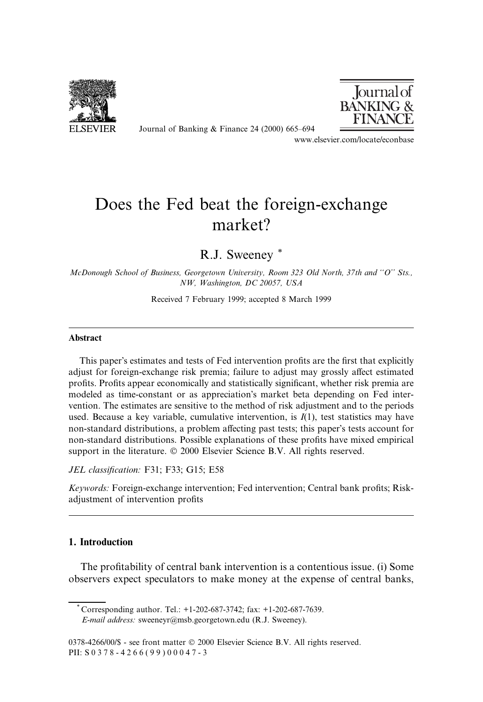

Journal of Banking  $&$  Finance 24 (2000) 665–694



www.elsevier.com/locate/econbase

## Does the Fed beat the foreign-exchange market?

R.J. Sweeney \*

McDonough School of Business, Georgetown University, Room 323 Old North, 37th and "O" Sts., NW, Washington, DC 20057, USA

Received 7 February 1999; accepted 8 March 1999

## Abstract

This paper's estimates and tests of Fed intervention profits are the first that explicitly adjust for foreign-exchange risk premia; failure to adjust may grossly affect estimated profits. Profits appear economically and statistically significant, whether risk premia are modeled as time-constant or as appreciation's market beta depending on Fed intervention. The estimates are sensitive to the method of risk adjustment and to the periods used. Because a key variable, cumulative intervention, is  $I(1)$ , test statistics may have non-standard distributions, a problem affecting past tests; this paper's tests account for non-standard distributions. Possible explanations of these profits have mixed empirical support in the literature.  $\odot$  2000 Elsevier Science B.V. All rights reserved.

JEL classification: F31; F33; G15; E58

Keywords: Foreign-exchange intervention; Fed intervention; Central bank profits; Riskadjustment of intervention profits

## 1. Introduction

The profitability of central bank intervention is a contentious issue. (i) Some observers expect speculators to make money at the expense of central banks,

 $*$  Corresponding author. Tel.:  $+1-202-687-3742$ ; fax:  $+1-202-687-7639$ . E-mail address: sweeneyr@msb.georgetown.edu (R.J. Sweeney).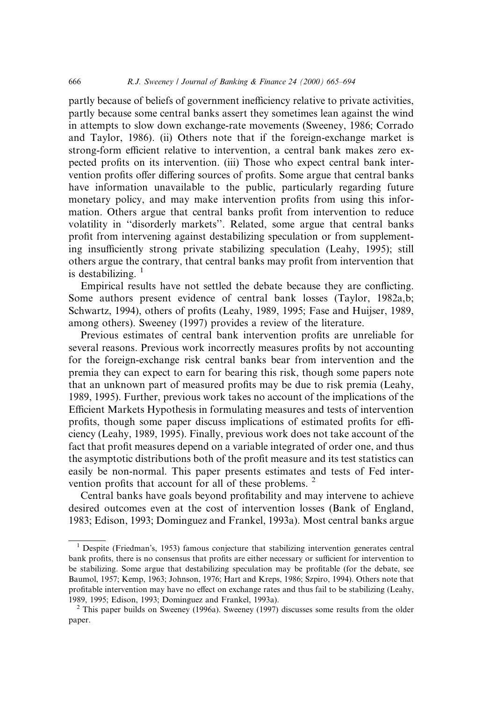partly because of beliefs of government inefficiency relative to private activities, partly because some central banks assert they sometimes lean against the wind in attempts to slow down exchange-rate movements (Sweeney, 1986; Corrado and Taylor, 1986). (ii) Others note that if the foreign-exchange market is strong-form efficient relative to intervention, a central bank makes zero expected profits on its intervention. (iii) Those who expect central bank intervention profits offer differing sources of profits. Some argue that central banks have information unavailable to the public, particularly regarding future monetary policy, and may make intervention profits from using this information. Others argue that central banks profit from intervention to reduce volatility in "disorderly markets". Related, some argue that central banks profit from intervening against destabilizing speculation or from supplementing insufficiently strong private stabilizing speculation (Leahy, 1995); still others argue the contrary, that central banks may profit from intervention that is destabilizing.  $1$ 

Empirical results have not settled the debate because they are conflicting. Some authors present evidence of central bank losses (Taylor, 1982a,b; Schwartz, 1994), others of profits (Leahy, 1989, 1995; Fase and Huijser, 1989, among others). Sweeney (1997) provides a review of the literature.

Previous estimates of central bank intervention profits are unreliable for several reasons. Previous work incorrectly measures profits by not accounting for the foreign-exchange risk central banks bear from intervention and the premia they can expect to earn for bearing this risk, though some papers note that an unknown part of measured profits may be due to risk premia (Leahy, 1989, 1995). Further, previous work takes no account of the implications of the Efficient Markets Hypothesis in formulating measures and tests of intervention profits, though some paper discuss implications of estimated profits for efficiency (Leahy, 1989, 1995). Finally, previous work does not take account of the fact that profit measures depend on a variable integrated of order one, and thus the asymptotic distributions both of the profit measure and its test statistics can easily be non-normal. This paper presents estimates and tests of Fed intervention profits that account for all of these problems.  $2$ 

Central banks have goals beyond profitability and may intervene to achieve desired outcomes even at the cost of intervention losses (Bank of England, 1983; Edison, 1993; Dominguez and Frankel, 1993a). Most central banks argue

 $1$  Despite (Friedman's, 1953) famous conjecture that stabilizing intervention generates central bank profits, there is no consensus that profits are either necessary or sufficient for intervention to be stabilizing. Some argue that destabilizing speculation may be profitable (for the debate, see Baumol, 1957; Kemp, 1963; Johnson, 1976; Hart and Kreps, 1986; Szpiro, 1994). Others note that profitable intervention may have no effect on exchange rates and thus fail to be stabilizing (Leahy, 1989, 1995; Edison, 1993; Dominguez and Frankel, 1993a). <sup>2</sup> This paper builds on Sweeney (1996a). Sweeney (1997) discusses some results from the older

paper.